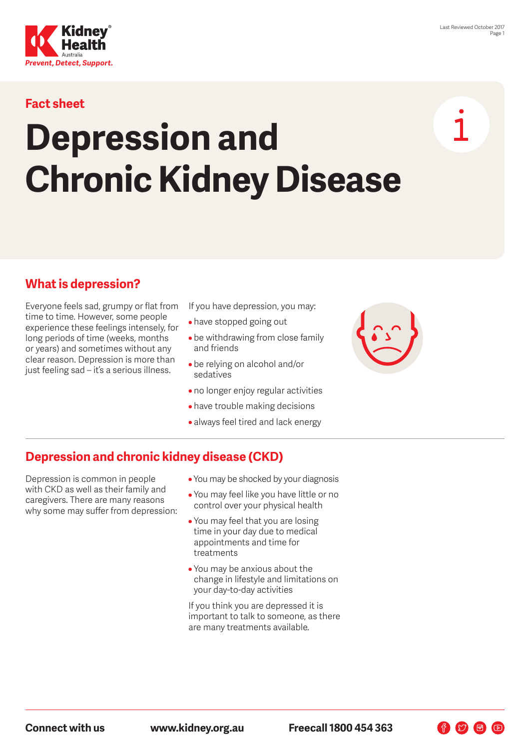

### **Fact sheet**

# **Depression and Chronic Kidney Disease**

#### **What is depression?**

Everyone feels sad, grumpy or flat from time to time. However, some people experience these feelings intensely, for long periods of time (weeks, months or years) and sometimes without any clear reason. Depression is more than just feeling sad – it's a serious illness.

If you have depression, you may:

- have stopped going out
- be withdrawing from close family and friends
- be relying on alcohol and/or sedatives
- no longer enjoy regular activities
- have trouble making decisions
- always feel tired and lack energy



#### **Depression and chronic kidney disease (CKD)**

Depression is common in people with CKD as well as their family and caregivers. There are many reasons why some may suffer from depression:

- You may be shocked by your diagnosis
- You may feel like you have little or no control over your physical health
- You may feel that you are losing time in your day due to medical appointments and time for treatments
- You may be anxious about the change in lifestyle and limitations on your day-to-day activities

If you think you are depressed it is important to talk to someone, as there are many treatments available.

**Connect with us www.kidney.org.au Freecall 1800 454 363**

 $\begin{picture}(60,6) \put(0,0){\line(1,0){10}} \put(15,0){\line(1,0){10}} \put(15,0){\line(1,0){10}} \put(15,0){\line(1,0){10}} \put(15,0){\line(1,0){10}} \put(15,0){\line(1,0){10}} \put(15,0){\line(1,0){10}} \put(15,0){\line(1,0){10}} \put(15,0){\line(1,0){10}} \put(15,0){\line(1,0){10}} \put(15,0){\line(1,0){10}} \put(15,0){\line(1,$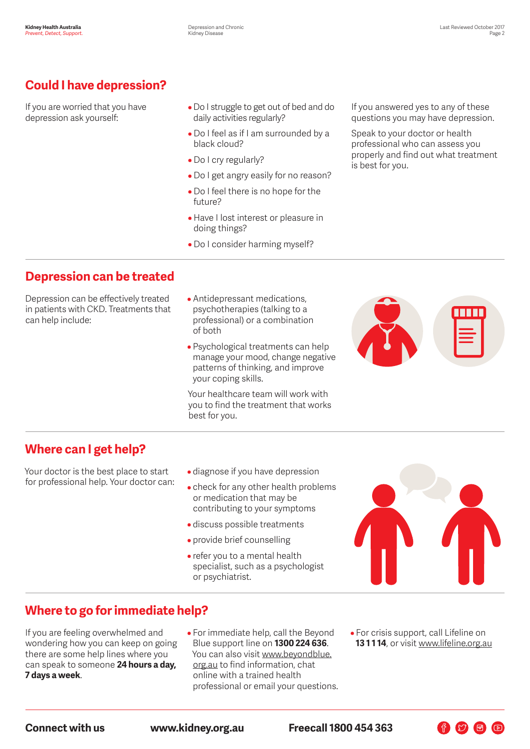# **Could I have depression?**

If you are worried that you have depression ask yourself:

- Do I struggle to get out of bed and do daily activities regularly?
- Do I feel as if I am surrounded by a black cloud?
- Do I cry regularly?
- Do I get angry easily for no reason?
- Do I feel there is no hope for the future?
- Have I lost interest or pleasure in doing things?
- Do I consider harming myself?

If you answered yes to any of these questions you may have depression.

Speak to your doctor or health professional who can assess you properly and find out what treatment is best for you.

## **Depression can be treated**

Depression can be effectively treated in patients with CKD. Treatments that can help include:

- Antidepressant medications, psychotherapies (talking to a professional) or a combination of both
- Psychological treatments can help manage your mood, change negative patterns of thinking, and improve your coping skills.

Your healthcare team will work with you to find the treatment that works best for you.



#### **Where can I get help?**

Your doctor is the best place to start for professional help. Your doctor can:

- diagnose if you have depression
- check for any other health problems or medication that may be contributing to your symptoms
- discuss possible treatments
- provide brief counselling
- refer you to a mental health specialist, such as a psychologist or psychiatrist.



# **Where to go for immediate help?**

If you are feeling overwhelmed and wondering how you can keep on going there are some help lines where you can speak to someone **24 hours a day, 7 days a week**.

- For immediate help, call the Beyond Blue support line on **1300 224 636**. You can also visit [www.beyondblue.](http://www.beyondblue.org.au) [org.au](http://www.beyondblue.org.au) to find information, chat online with a trained health professional or email your questions.
- For crisis support, call Lifeline on **13 1 1 14**, or visit [www.lifeline.org.au](http://www.lifeline.org.au)

**Connect with us www.kidney.org.au Freecall 1800 454 363**